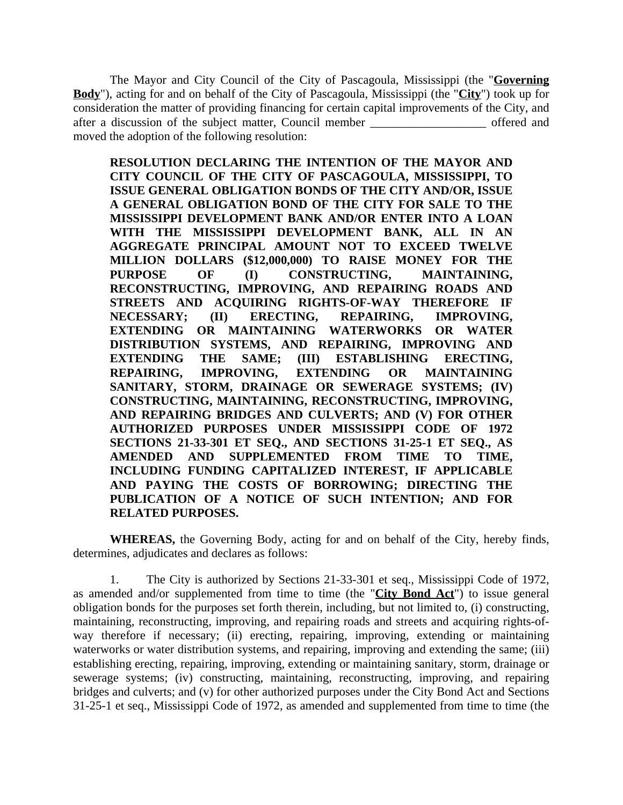The Mayor and City Council of the City of Pascagoula, Mississippi (the "**Governing Body**"), acting for and on behalf of the City of Pascagoula, Mississippi (the "**City**") took up for consideration the matter of providing financing for certain capital improvements of the City, and after a discussion of the subject matter, Council member \_\_\_\_\_\_\_\_\_\_\_\_\_\_\_\_\_\_\_ offered and moved the adoption of the following resolution:

**RESOLUTION DECLARING THE INTENTION OF THE MAYOR AND CITY COUNCIL OF THE CITY OF PASCAGOULA, MISSISSIPPI, TO ISSUE GENERAL OBLIGATION BONDS OF THE CITY AND/OR, ISSUE A GENERAL OBLIGATION BOND OF THE CITY FOR SALE TO THE MISSISSIPPI DEVELOPMENT BANK AND/OR ENTER INTO A LOAN WITH THE MISSISSIPPI DEVELOPMENT BANK, ALL IN AN AGGREGATE PRINCIPAL AMOUNT NOT TO EXCEED TWELVE MILLION DOLLARS (\$12,000,000) TO RAISE MONEY FOR THE PURPOSE OF (I) CONSTRUCTING, MAINTAINING, RECONSTRUCTING, IMPROVING, AND REPAIRING ROADS AND STREETS AND ACQUIRING RIGHTS-OF-WAY THEREFORE IF NECESSARY; (II) ERECTING, REPAIRING, IMPROVING, EXTENDING OR MAINTAINING WATERWORKS OR WATER DISTRIBUTION SYSTEMS, AND REPAIRING, IMPROVING AND EXTENDING THE SAME; (III) ESTABLISHING ERECTING, REPAIRING, IMPROVING, EXTENDING OR MAINTAINING SANITARY, STORM, DRAINAGE OR SEWERAGE SYSTEMS; (IV) CONSTRUCTING, MAINTAINING, RECONSTRUCTING, IMPROVING, AND REPAIRING BRIDGES AND CULVERTS; AND (V) FOR OTHER AUTHORIZED PURPOSES UNDER MISSISSIPPI CODE OF 1972 SECTIONS 21-33-301 ET SEQ., AND SECTIONS 31-25-1 ET SEQ., AS AMENDED AND SUPPLEMENTED FROM TIME TO TIME, INCLUDING FUNDING CAPITALIZED INTEREST, IF APPLICABLE AND PAYING THE COSTS OF BORROWING; DIRECTING THE PUBLICATION OF A NOTICE OF SUCH INTENTION; AND FOR RELATED PURPOSES.**

**WHEREAS,** the Governing Body, acting for and on behalf of the City, hereby finds, determines, adjudicates and declares as follows:

1. The City is authorized by Sections 21-33-301 et seq., Mississippi Code of 1972, as amended and/or supplemented from time to time (the "**City Bond Act**") to issue general obligation bonds for the purposes set forth therein, including, but not limited to, (i) constructing, maintaining, reconstructing, improving, and repairing roads and streets and acquiring rights-ofway therefore if necessary; (ii) erecting, repairing, improving, extending or maintaining waterworks or water distribution systems, and repairing, improving and extending the same; (iii) establishing erecting, repairing, improving, extending or maintaining sanitary, storm, drainage or sewerage systems; (iv) constructing, maintaining, reconstructing, improving, and repairing bridges and culverts; and (v) for other authorized purposes under the City Bond Act and Sections 31-25-1 et seq., Mississippi Code of 1972, as amended and supplemented from time to time (the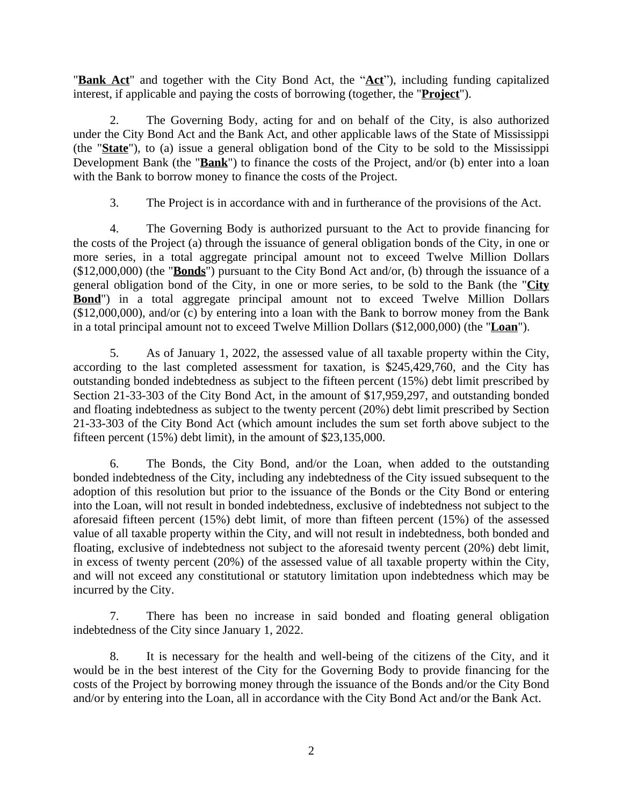"**Bank Act**" and together with the City Bond Act, the "**Act**"), including funding capitalized interest, if applicable and paying the costs of borrowing (together, the "**Project**").

2. The Governing Body, acting for and on behalf of the City, is also authorized under the City Bond Act and the Bank Act, and other applicable laws of the State of Mississippi (the "**State**"), to (a) issue a general obligation bond of the City to be sold to the Mississippi Development Bank (the "**Bank**") to finance the costs of the Project, and/or (b) enter into a loan with the Bank to borrow money to finance the costs of the Project.

3. The Project is in accordance with and in furtherance of the provisions of the Act.

4. The Governing Body is authorized pursuant to the Act to provide financing for the costs of the Project (a) through the issuance of general obligation bonds of the City, in one or more series, in a total aggregate principal amount not to exceed Twelve Million Dollars (\$12,000,000) (the "**Bonds**") pursuant to the City Bond Act and/or, (b) through the issuance of a general obligation bond of the City, in one or more series, to be sold to the Bank (the "**City Bond**") in a total aggregate principal amount not to exceed Twelve Million Dollars (\$12,000,000), and/or (c) by entering into a loan with the Bank to borrow money from the Bank in a total principal amount not to exceed Twelve Million Dollars (\$12,000,000) (the "**Loan**").

5. As of January 1, 2022, the assessed value of all taxable property within the City, according to the last completed assessment for taxation, is \$245,429,760, and the City has outstanding bonded indebtedness as subject to the fifteen percent (15%) debt limit prescribed by Section 21-33-303 of the City Bond Act, in the amount of \$17,959,297, and outstanding bonded and floating indebtedness as subject to the twenty percent (20%) debt limit prescribed by Section 21-33-303 of the City Bond Act (which amount includes the sum set forth above subject to the fifteen percent (15%) debt limit), in the amount of \$23,135,000.

6. The Bonds, the City Bond, and/or the Loan, when added to the outstanding bonded indebtedness of the City, including any indebtedness of the City issued subsequent to the adoption of this resolution but prior to the issuance of the Bonds or the City Bond or entering into the Loan, will not result in bonded indebtedness, exclusive of indebtedness not subject to the aforesaid fifteen percent (15%) debt limit, of more than fifteen percent (15%) of the assessed value of all taxable property within the City, and will not result in indebtedness, both bonded and floating, exclusive of indebtedness not subject to the aforesaid twenty percent (20%) debt limit, in excess of twenty percent (20%) of the assessed value of all taxable property within the City, and will not exceed any constitutional or statutory limitation upon indebtedness which may be incurred by the City.

7. There has been no increase in said bonded and floating general obligation indebtedness of the City since January 1, 2022.

8. It is necessary for the health and well-being of the citizens of the City, and it would be in the best interest of the City for the Governing Body to provide financing for the costs of the Project by borrowing money through the issuance of the Bonds and/or the City Bond and/or by entering into the Loan, all in accordance with the City Bond Act and/or the Bank Act.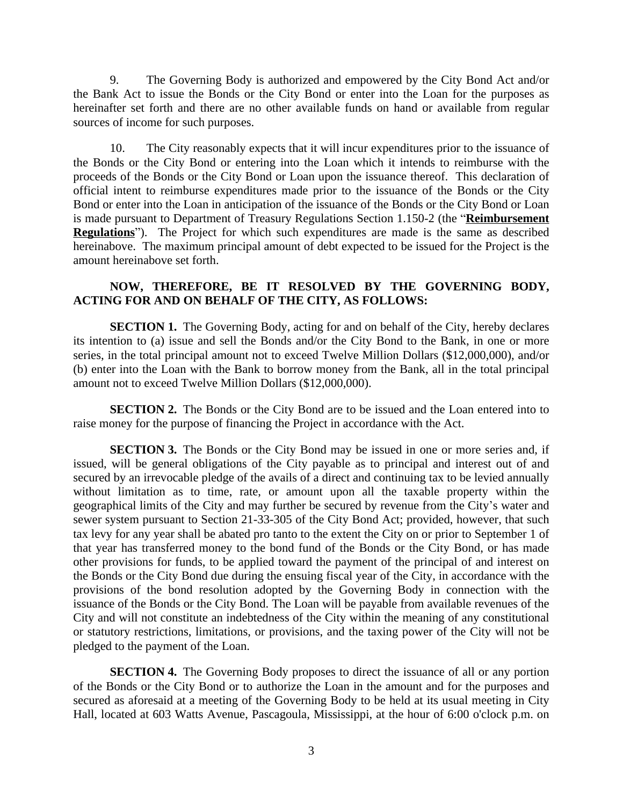9. The Governing Body is authorized and empowered by the City Bond Act and/or the Bank Act to issue the Bonds or the City Bond or enter into the Loan for the purposes as hereinafter set forth and there are no other available funds on hand or available from regular sources of income for such purposes.

10. The City reasonably expects that it will incur expenditures prior to the issuance of the Bonds or the City Bond or entering into the Loan which it intends to reimburse with the proceeds of the Bonds or the City Bond or Loan upon the issuance thereof. This declaration of official intent to reimburse expenditures made prior to the issuance of the Bonds or the City Bond or enter into the Loan in anticipation of the issuance of the Bonds or the City Bond or Loan is made pursuant to Department of Treasury Regulations Section 1.150-2 (the "**Reimbursement Regulations**"). The Project for which such expenditures are made is the same as described hereinabove. The maximum principal amount of debt expected to be issued for the Project is the amount hereinabove set forth.

## **NOW, THEREFORE, BE IT RESOLVED BY THE GOVERNING BODY, ACTING FOR AND ON BEHALF OF THE CITY, AS FOLLOWS:**

**SECTION 1.** The Governing Body, acting for and on behalf of the City, hereby declares its intention to (a) issue and sell the Bonds and/or the City Bond to the Bank, in one or more series, in the total principal amount not to exceed Twelve Million Dollars (\$12,000,000), and/or (b) enter into the Loan with the Bank to borrow money from the Bank, all in the total principal amount not to exceed Twelve Million Dollars (\$12,000,000).

**SECTION 2.** The Bonds or the City Bond are to be issued and the Loan entered into to raise money for the purpose of financing the Project in accordance with the Act.

**SECTION 3.** The Bonds or the City Bond may be issued in one or more series and, if issued, will be general obligations of the City payable as to principal and interest out of and secured by an irrevocable pledge of the avails of a direct and continuing tax to be levied annually without limitation as to time, rate, or amount upon all the taxable property within the geographical limits of the City and may further be secured by revenue from the City's water and sewer system pursuant to Section 21-33-305 of the City Bond Act; provided, however, that such tax levy for any year shall be abated pro tanto to the extent the City on or prior to September 1 of that year has transferred money to the bond fund of the Bonds or the City Bond, or has made other provisions for funds, to be applied toward the payment of the principal of and interest on the Bonds or the City Bond due during the ensuing fiscal year of the City, in accordance with the provisions of the bond resolution adopted by the Governing Body in connection with the issuance of the Bonds or the City Bond. The Loan will be payable from available revenues of the City and will not constitute an indebtedness of the City within the meaning of any constitutional or statutory restrictions, limitations, or provisions, and the taxing power of the City will not be pledged to the payment of the Loan.

**SECTION 4.** The Governing Body proposes to direct the issuance of all or any portion of the Bonds or the City Bond or to authorize the Loan in the amount and for the purposes and secured as aforesaid at a meeting of the Governing Body to be held at its usual meeting in City Hall, located at 603 Watts Avenue, Pascagoula, Mississippi, at the hour of 6:00 o'clock p.m. on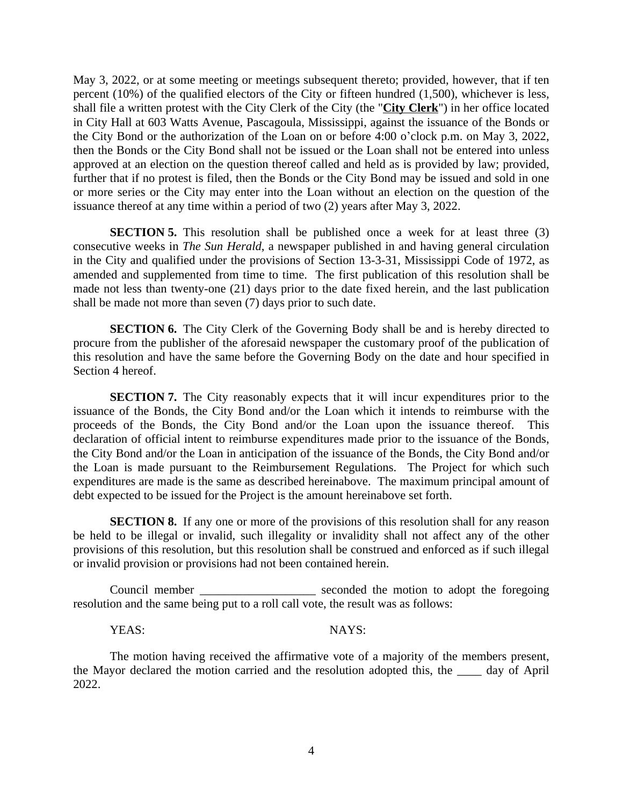May 3, 2022, or at some meeting or meetings subsequent thereto; provided, however, that if ten percent (10%) of the qualified electors of the City or fifteen hundred (1,500), whichever is less, shall file a written protest with the City Clerk of the City (the "**City Clerk**") in her office located in City Hall at 603 Watts Avenue, Pascagoula, Mississippi, against the issuance of the Bonds or the City Bond or the authorization of the Loan on or before 4:00 o'clock p.m. on May 3, 2022, then the Bonds or the City Bond shall not be issued or the Loan shall not be entered into unless approved at an election on the question thereof called and held as is provided by law; provided, further that if no protest is filed, then the Bonds or the City Bond may be issued and sold in one or more series or the City may enter into the Loan without an election on the question of the issuance thereof at any time within a period of two (2) years after May 3, 2022.

**SECTION 5.** This resolution shall be published once a week for at least three (3) consecutive weeks in *The Sun Herald*, a newspaper published in and having general circulation in the City and qualified under the provisions of Section 13-3-31, Mississippi Code of 1972, as amended and supplemented from time to time. The first publication of this resolution shall be made not less than twenty-one (21) days prior to the date fixed herein, and the last publication shall be made not more than seven (7) days prior to such date.

**SECTION 6.** The City Clerk of the Governing Body shall be and is hereby directed to procure from the publisher of the aforesaid newspaper the customary proof of the publication of this resolution and have the same before the Governing Body on the date and hour specified in Section 4 hereof.

**SECTION 7.** The City reasonably expects that it will incur expenditures prior to the issuance of the Bonds, the City Bond and/or the Loan which it intends to reimburse with the proceeds of the Bonds, the City Bond and/or the Loan upon the issuance thereof. This declaration of official intent to reimburse expenditures made prior to the issuance of the Bonds, the City Bond and/or the Loan in anticipation of the issuance of the Bonds, the City Bond and/or the Loan is made pursuant to the Reimbursement Regulations. The Project for which such expenditures are made is the same as described hereinabove. The maximum principal amount of debt expected to be issued for the Project is the amount hereinabove set forth.

**SECTION 8.** If any one or more of the provisions of this resolution shall for any reason be held to be illegal or invalid, such illegality or invalidity shall not affect any of the other provisions of this resolution, but this resolution shall be construed and enforced as if such illegal or invalid provision or provisions had not been contained herein.

Council member \_\_\_\_\_\_\_\_\_\_\_\_\_\_\_\_\_\_\_ seconded the motion to adopt the foregoing resolution and the same being put to a roll call vote, the result was as follows:

YEAS: NAYS:

The motion having received the affirmative vote of a majority of the members present, the Mayor declared the motion carried and the resolution adopted this, the \_\_\_\_ day of April 2022.